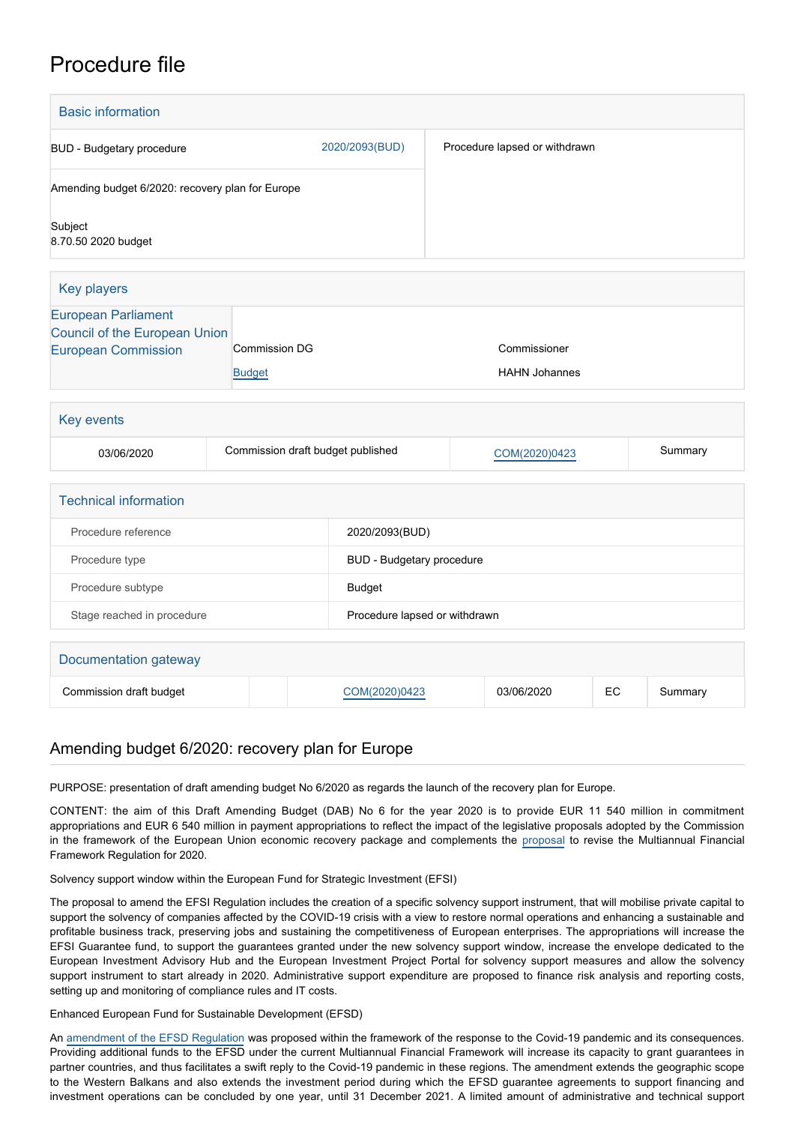# Procedure file

| <b>Basic information</b>                                                                         |                                       |  |                                   |  |                                      |    |         |
|--------------------------------------------------------------------------------------------------|---------------------------------------|--|-----------------------------------|--|--------------------------------------|----|---------|
| <b>BUD</b> - Budgetary procedure                                                                 |                                       |  | 2020/2093(BUD)                    |  | Procedure lapsed or withdrawn        |    |         |
| Amending budget 6/2020: recovery plan for Europe                                                 |                                       |  |                                   |  |                                      |    |         |
| Subject<br>8.70.50 2020 budget                                                                   |                                       |  |                                   |  |                                      |    |         |
| <b>Key players</b>                                                                               |                                       |  |                                   |  |                                      |    |         |
| <b>European Parliament</b><br><b>Council of the European Union</b><br><b>European Commission</b> | <b>Commission DG</b><br><b>Budget</b> |  |                                   |  | Commissioner<br><b>HAHN Johannes</b> |    |         |
| <b>Key events</b>                                                                                |                                       |  |                                   |  |                                      |    |         |
| 03/06/2020                                                                                       |                                       |  | Commission draft budget published |  | COM(2020)0423                        |    | Summary |
| <b>Technical information</b>                                                                     |                                       |  |                                   |  |                                      |    |         |
| Procedure reference                                                                              |                                       |  | 2020/2093(BUD)                    |  |                                      |    |         |
| Procedure type                                                                                   |                                       |  | BUD - Budgetary procedure         |  |                                      |    |         |
| Procedure subtype                                                                                |                                       |  | <b>Budget</b>                     |  |                                      |    |         |
| Stage reached in procedure                                                                       |                                       |  | Procedure lapsed or withdrawn     |  |                                      |    |         |
| Documentation gateway                                                                            |                                       |  |                                   |  |                                      |    |         |
| Commission draft budget                                                                          |                                       |  | COM(2020)0423                     |  | 03/06/2020                           | EC | Summary |

## Amending budget 6/2020: recovery plan for Europe

PURPOSE: presentation of draft amending budget No 6/2020 as regards the launch of the recovery plan for Europe.

CONTENT: the aim of this Draft Amending Budget (DAB) No 6 for the year 2020 is to provide EUR 11 540 million in commitment appropriations and EUR 6 540 million in payment appropriations to reflect the impact of the legislative proposals adopted by the Commission in the framework of the European Union economic recovery package and complements the [proposal](https://oeil.secure.europarl.europa.eu/oeil/popups/ficheprocedure.do?reference=2018/0166(APP)&l=en) to revise the Multiannual Financial Framework Regulation for 2020.

Solvency support window within the European Fund for Strategic Investment (EFSI)

The proposal to amend the EFSI Regulation includes the creation of a specific solvency support instrument, that will mobilise private capital to support the solvency of companies affected by the COVID-19 crisis with a view to restore normal operations and enhancing a sustainable and profitable business track, preserving jobs and sustaining the competitiveness of European enterprises. The appropriations will increase the EFSI Guarantee fund, to support the guarantees granted under the new solvency support window, increase the envelope dedicated to the European Investment Advisory Hub and the European Investment Project Portal for solvency support measures and allow the solvency support instrument to start already in 2020. Administrative support expenditure are proposed to finance risk analysis and reporting costs, setting up and monitoring of compliance rules and IT costs.

Enhanced European Fund for Sustainable Development (EFSD)

An [amendment of the EFSD Regulation](https://oeil.secure.europarl.europa.eu/oeil/popups/ficheprocedure.do?reference=2020/0107(COD)&l=en) was proposed within the framework of the response to the Covid-19 pandemic and its consequences. Providing additional funds to the EFSD under the current Multiannual Financial Framework will increase its capacity to grant guarantees in partner countries, and thus facilitates a swift reply to the Covid-19 pandemic in these regions. The amendment extends the geographic scope to the Western Balkans and also extends the investment period during which the EFSD guarantee agreements to support financing and investment operations can be concluded by one year, until 31 December 2021. A limited amount of administrative and technical support